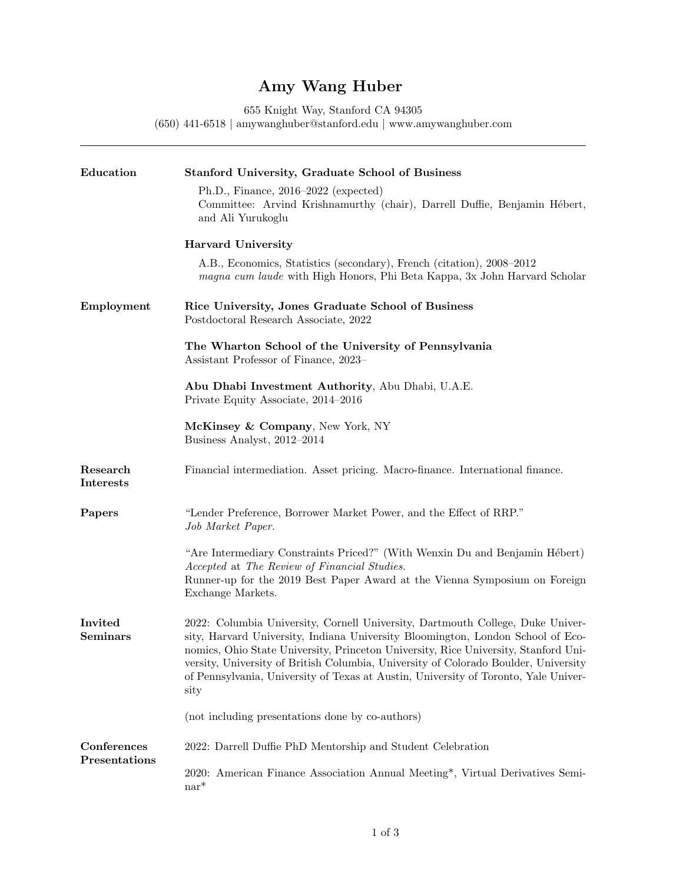## Amy Wang Huber

655 Knight Way, Stanford CA 94305

(650) 441-6518 | [amywanghuber@stanford.edu](mailto:amywanghuber@stanford.edu) | [www.amywanghuber.com](https://amywanghuber.com/)

| Education                         | <b>Stanford University, Graduate School of Business</b>                                                                                                                                                                                                                                                                                                                                                                                        |
|-----------------------------------|------------------------------------------------------------------------------------------------------------------------------------------------------------------------------------------------------------------------------------------------------------------------------------------------------------------------------------------------------------------------------------------------------------------------------------------------|
|                                   | $Ph.D., Finance, 2016-2022 (expected)$<br>Committee: Arvind Krishnamurthy (chair), Darrell Duffie, Benjamin Hébert,<br>and Ali Yurukoglu                                                                                                                                                                                                                                                                                                       |
|                                   | <b>Harvard University</b>                                                                                                                                                                                                                                                                                                                                                                                                                      |
|                                   | A.B., Economics, Statistics (secondary), French (citation), 2008–2012<br>magna cum laude with High Honors, Phi Beta Kappa, 3x John Harvard Scholar                                                                                                                                                                                                                                                                                             |
| Employment                        | Rice University, Jones Graduate School of Business<br>Postdoctoral Research Associate, 2022                                                                                                                                                                                                                                                                                                                                                    |
|                                   | The Wharton School of the University of Pennsylvania<br>Assistant Professor of Finance, 2023–                                                                                                                                                                                                                                                                                                                                                  |
|                                   | Abu Dhabi Investment Authority, Abu Dhabi, U.A.E.<br>Private Equity Associate, 2014–2016                                                                                                                                                                                                                                                                                                                                                       |
|                                   | McKinsey & Company, New York, NY<br>Business Analyst, 2012-2014                                                                                                                                                                                                                                                                                                                                                                                |
| Research<br><b>Interests</b>      | Financial intermediation. Asset pricing. Macro-finance. International finance.                                                                                                                                                                                                                                                                                                                                                                 |
| Papers                            | "Lender Preference, Borrower Market Power, and the Effect of RRP."<br>Job Market Paper.                                                                                                                                                                                                                                                                                                                                                        |
|                                   | "Are Intermediary Constraints Priced?" (With Wenxin Du and Benjamin Hébert)<br>Accepted at The Review of Financial Studies.<br>Runner-up for the 2019 Best Paper Award at the Vienna Symposium on Foreign<br>Exchange Markets.                                                                                                                                                                                                                 |
| <b>Invited</b><br><b>Seminars</b> | 2022: Columbia University, Cornell University, Dartmouth College, Duke Univer-<br>sity, Harvard University, Indiana University Bloomington, London School of Eco-<br>nomics, Ohio State University, Princeton University, Rice University, Stanford Uni-<br>versity, University of British Columbia, University of Colorado Boulder, University<br>of Pennsylvania, University of Texas at Austin, University of Toronto, Yale Univer-<br>sity |
|                                   | (not including presentations done by co-authors)                                                                                                                                                                                                                                                                                                                                                                                               |
| Conferences<br>Presentations      | 2022: Darrell Duffie PhD Mentorship and Student Celebration                                                                                                                                                                                                                                                                                                                                                                                    |
|                                   | 2020: American Finance Association Annual Meeting*, Virtual Derivatives Semi-<br>$nar^*$                                                                                                                                                                                                                                                                                                                                                       |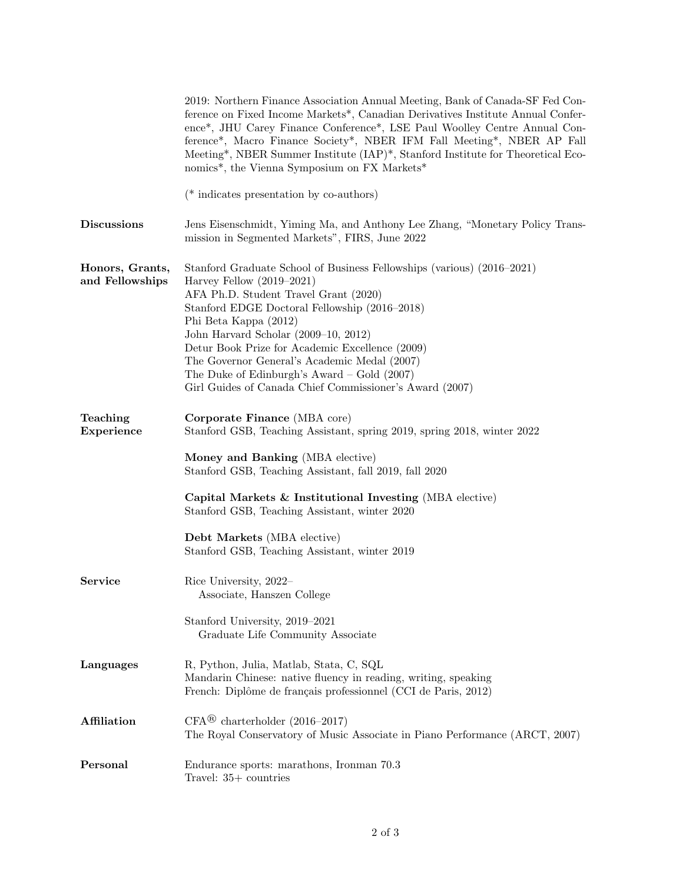|                                    | 2019: Northern Finance Association Annual Meeting, Bank of Canada-SF Fed Con-<br>ference on Fixed Income Markets*, Canadian Derivatives Institute Annual Confer-<br>ence*, JHU Carey Finance Conference*, LSE Paul Woolley Centre Annual Con-<br>ference*, Macro Finance Society*, NBER IFM Fall Meeting*, NBER AP Fall<br>Meeting*, NBER Summer Institute (IAP)*, Stanford Institute for Theoretical Eco-<br>nomics*, the Vienna Symposium on FX Markets*                      |
|------------------------------------|---------------------------------------------------------------------------------------------------------------------------------------------------------------------------------------------------------------------------------------------------------------------------------------------------------------------------------------------------------------------------------------------------------------------------------------------------------------------------------|
|                                    | ( $*$ indicates presentation by co-authors)                                                                                                                                                                                                                                                                                                                                                                                                                                     |
| <b>Discussions</b>                 | Jens Eisenschmidt, Yiming Ma, and Anthony Lee Zhang, "Monetary Policy Trans-<br>mission in Segmented Markets", FIRS, June 2022                                                                                                                                                                                                                                                                                                                                                  |
| Honors, Grants,<br>and Fellowships | Stanford Graduate School of Business Fellowships (various) (2016–2021)<br>Harvey Fellow $(2019-2021)$<br>AFA Ph.D. Student Travel Grant (2020)<br>Stanford EDGE Doctoral Fellowship (2016-2018)<br>Phi Beta Kappa (2012)<br>John Harvard Scholar (2009-10, 2012)<br>Detur Book Prize for Academic Excellence (2009)<br>The Governor General's Academic Medal (2007)<br>The Duke of Edinburgh's Award – Gold $(2007)$<br>Girl Guides of Canada Chief Commissioner's Award (2007) |
| Teaching<br>Experience             | Corporate Finance (MBA core)<br>Stanford GSB, Teaching Assistant, spring 2019, spring 2018, winter 2022<br>Money and Banking (MBA elective)<br>Stanford GSB, Teaching Assistant, fall 2019, fall 2020<br>Capital Markets $\&$ Institutional Investing (MBA elective)<br>Stanford GSB, Teaching Assistant, winter 2020<br>Debt Markets (MBA elective)<br>Stanford GSB, Teaching Assistant, winter 2019                                                                           |
| <b>Service</b>                     | Rice University, 2022-<br>Associate, Hanszen College<br>Stanford University, 2019-2021<br>Graduate Life Community Associate                                                                                                                                                                                                                                                                                                                                                     |
| Languages                          | R, Python, Julia, Matlab, Stata, C, SQL<br>Mandarin Chinese: native fluency in reading, writing, speaking<br>French: Diplôme de français professionnel (CCI de Paris, 2012)                                                                                                                                                                                                                                                                                                     |
| <b>Affiliation</b>                 | $CFA^{\circledR}$ charterholder (2016–2017)<br>The Royal Conservatory of Music Associate in Piano Performance (ARCT, 2007)                                                                                                                                                                                                                                                                                                                                                      |
| Personal                           | Endurance sports: marathons, Ironman 70.3<br>Travel: $35+$ countries                                                                                                                                                                                                                                                                                                                                                                                                            |